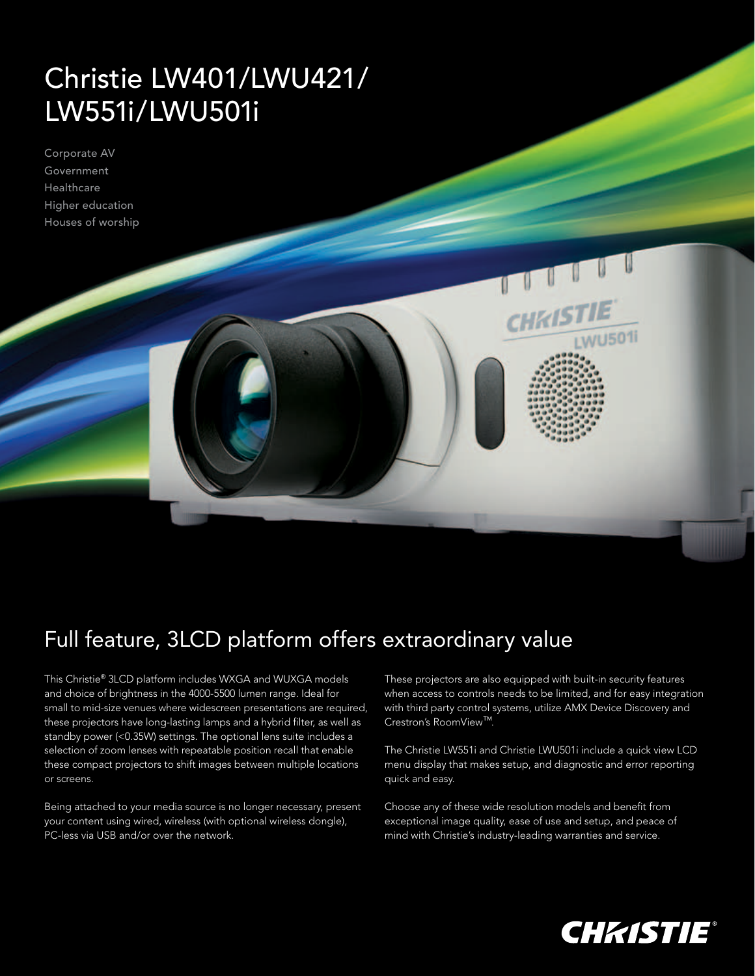## Christie LW401/LWU421/ LW551i/LWU501i

Corporate AV Government **Healthcare** Higher education Houses of worship



## Full feature, 3LCD platform offers extraordinary value

This Christie® 3LCD platform includes WXGA and WUXGA models and choice of brightness in the 4000-5500 lumen range. Ideal for small to mid-size venues where widescreen presentations are required, these projectors have long-lasting lamps and a hybrid filter, as well as standby power (<0.35W) settings. The optional lens suite includes a selection of zoom lenses with repeatable position recall that enable these compact projectors to shift images between multiple locations or screens.

Being attached to your media source is no longer necessary, present your content using wired, wireless (with optional wireless dongle), PC-less via USB and/or over the network.

These projectors are also equipped with built-in security features when access to controls needs to be limited, and for easy integration with third party control systems, utilize AMX Device Discovery and Crestron's RoomView™.

The Christie LW551i and Christie LWU501i include a quick view LCD menu display that makes setup, and diagnostic and error reporting quick and easy.

Choose any of these wide resolution models and benefit from exceptional image quality, ease of use and setup, and peace of mind with Christie's industry-leading warranties and service.